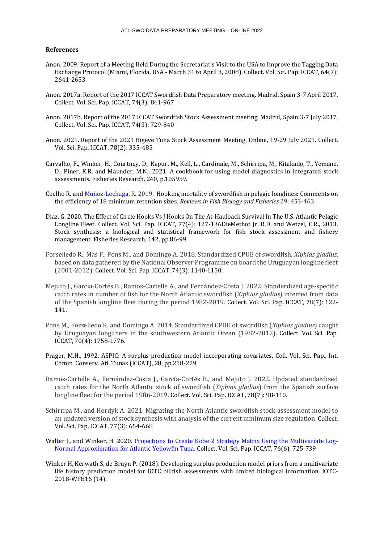# **REPORT OF THE 2022 ICCAT ATLANTIC SWORDFISH DATA PREPARATORY SESSION**

*(Online, March 21 to 1 April 2022)*

*"The results, conclusions and recommendations contained in this Report only reflect the view of the Swordfish Species Group. Therefore, these should be considered preliminary until the SCRS adopts them at its annual Plenary meeting and the Commission revise them at its Annual meeting. Accordingly, ICCAT reserves the right to comment, object and endorse this Report, until it is finally adopted by the Commission."*

# **1. Opening, adoption of agenda and meeting arrangements**

The meeting was held online, 21 March to 1 April 2022. The northern swordfish rapporteur Kyle Gilespie (Canada) opened the meeting with the Species Group (the Group) coordinator Dr. Rui Coelho (EU-Portugal) and the southern rapporteur, Denham Parker (South Africa). The ICCAT Executive Secretary, welcomed and thanked the participants, highlighting the difficulties of working online during the COVID-19 pandemic. The Chairman proceeded to review the Agenda which was adopted without changes (**Appendix 1**).

The List of Participants is included in **Appendix 2**. The List of Documents presented at the meeting is attached as **Appendix 3**. The abstracts of all SCRS documents presented at the meeting are included in **Appendix 4**. The following served as rapporteurs:

| Sections<br>Rapporteur                                                                         |  |
|------------------------------------------------------------------------------------------------|--|
| Taylor, N.G.<br>Items 1, 11                                                                    |  |
| Item 2<br>Rosa, D.                                                                             |  |
| Item 3<br>Palma C., Mayor C., Garcia, J., Rosa, D.                                             |  |
| Coelho, R., Lauretta, M. Parker, D., Mourato, B., Kimoto, A., Coelho, R., Gillespie,<br>Item 4 |  |
| K., Parker, R., Hanke, A.                                                                      |  |
| Schirripa, M., Ortiz, M. Parker, D.<br>Item 5                                                  |  |
| Gillespie K., Hordyk, A., Rosa, D. Miller, S.<br>Item 6                                        |  |
| Taylor, N.G., Kimoto, A., Ortiz, M.<br>Item 7                                                  |  |
| Brown, C., Hanke, A. Duprey, N.<br>Item 8                                                      |  |
| Item 9<br>Taylor, N.G.                                                                         |  |

## **2. Review of historical and new information on biology**

Presentation SCRS/P/2022/008 provided an update on the ICCAT swordfish biology programme. The programme is a collaborative project between institutes from 15 ICCAT CPCs and its goal is to address life history uncertainties important in the ICCAT swordfish assessments and MSE. A brief review was given on the number of swordfish sampled, sampling coverage, and the sampling materials obtained from fish in each of the stocks. The programme, now entering its fifth year, is now focusing on filling spatial-temporal gaps and analyzing samples for age and growth, reproduction, and stock differentiation.

The Secretariat informed the Group on a possible extension of phase 4, to allow for better use of the available funds and to fill additional gaps related to the collection of samples under the current phase. It was noted that for this phase most of the funds are already allocated to processing while a smaller portion is available for sampling, however this extension would be considered by the Group.

Presentation SCRS/P/2022/005 showed an update on the age and growth component of the biology programme for swordfish. For this component, both spines and otoliths are being collected and processed for comparison of age readings between both structures. Readings have started for the North Atlantic stock, and growth modelling will be conducted after the readings are finalized. The Group acknowledged and thanked the authors for the presentation. Document SCRS/2022/061 presented information with regards to conversion factors between Straight Lower Jaw Fork Length (S-LJFL) and Curved Lower Jaw Fork Length (C-LJFL) for swordfish in the North Atlantic. Sex and Month had a large effect on the predictions while Area had less of an effect. The differences between C-LJFL and S-LJFL increase as specimens grow to larger sizes.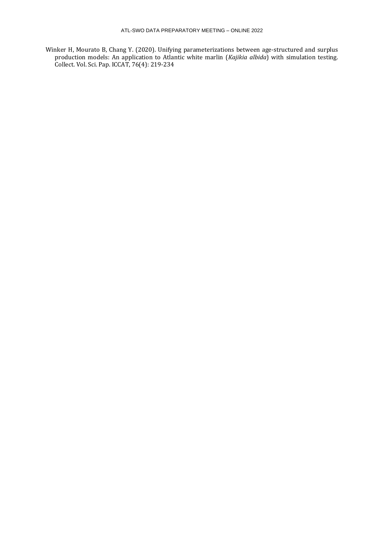The Group considered this work to be extremely important and useful. It was noted that the conversion between curved and straight LJFL would be most impacted in the spawning season. The authors noted that a difference was found particularly in the northwest in the months from July to September, with the fish being in a better condition (more curve), however this would only translate in around 1 cm difference. It was further noted that this would probably be due to feeding, as that area is not a spawning ground. This work is ongoing and further sampling and analysis will be conducted.

A question was asked if the Group would decide to use the curved or straight fork length. It was noted that both have been used to report Task 2 data. Moreover, with the standardization of the analysis on the size data (SCRS/2022/060), the Secretariat has converted all sizes to straight LJFL, as this should be the standard measurement type to be used in the assessment.

It was noted that the current paper only presented equations to estimate curved LJFL from straight LJFL. The authors provided an updated version before the end of the meeting (aiming at publication of the document in the ICCAT Col. Vol. Sci. Pap.) that includes conversions for both measurements (i.e., straight LJFL to curve LJFL, and vice-versa). It was also agreed that the Secretariat would update the size revisions to be used in the stock assessment based on those new equations.

## **3. Review of fishery statistics and tagging data**

The Secretariat presented to the Group the most up to date (as of 20 March 2022) fishery statistics information available in the ICCAT database system (ICCAT-DB) in relation to swordfish (*Xiphias gladius*, SWO) for both Atlantic stocks (SWO-N: North Atlantic; SWO-S: South Atlantic). The datasets revised by the Group includes, Task 1 nominal catches (T1NC), Task 2 catch and effort (T2CE), Task 2 size frequencies (T2SZ), Task 2 catch-at-size estimated/reported by CPCs (T2CS), and the most recent CATDIS estimations (T1NC catches distributed by trimester and 5x5 squares, between 1950 and 2020). The CATDIS, published in the ICCAT Statistical Bulletin Vol. 47, reflects the SWO T1NC information received until January 2022. The existing swordfish conventional tagging (and electronic tagging at a minor extent) information was also presented and revised by the Group.

# *3.1 Task 1 (catches) Data*

After the large and comprehensive revision made by this Group in 2017 (detailed in Appendix 5 of Anon. 2017a), where the entire catch series (1950-2015) of both SWO Atlantic stocks (SWO-N and SWO-S) were fully revised and updated (reduced unclassified gears, gap completion, reclassified erroneous gears, corrections to sampling areas and stocks, etc.), no major corrections were made to T1NC for that period. Only the catches for the period 2015-2020 were addressed in detail at this meeting.

The T1NC gaps identified on both SWO Atlantic stocks (catch series period: 2015-2020) for the most important flag/gear combinations, were completed with carry overs (average of the previous three years). The gap completion table is summarised in **Table 1**. By default, all the T1NC gaps completed with this approach are considered preliminary and must be replaced by CPC official statistics in the future.

In addition, some preliminary catches were obtained during the meeting for the Venezuela artisanal drift gillnet fleet (2015-2020), the Senegal longline, handline and gillnet fleets (2020). An historical recovery on SWO-N catches was presented by Costa Rica for National mid-scale longline fleet fishing on Costa Rica EEZ waters and covering the period 1999 to 2020 (SCRS/2022/047).

Finally, the Group adopted all the T1NC updates described above, noting that some catches of Marrocco and Senegal still have to be finalized by the end of March 2022. The revised T1NC catches are presented in **Table 2** (total catches by stock and major gear, between 1950 and 2020) and **Table 2a** (total landings and dead discards by major gear and flag, between 1990 and 2020)**.** Graphically, the total SWO catches for the Atlantic stocks are presented in **Figure 1** (SWO-N) and **Figure 2** (SWO-S). A dashboard to dynamically navigate through T1NC was also prepared by the Secretariat (**Figure3**)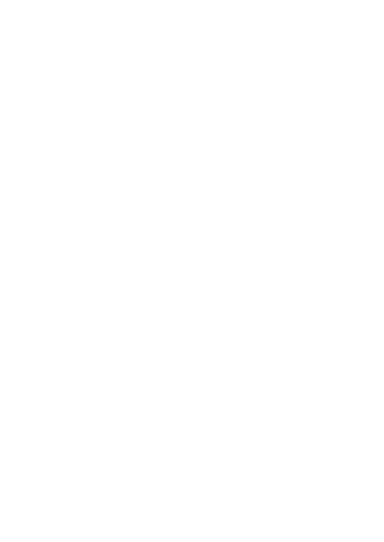In relation to the progress made on reporting SWO discards (DD: discarded dead; DL: discarded live; DM: mortality estimates obtained from DL) in T1NC by ICCAT CPCs, the Secretariat informed that, very little progress has been made. Very few CPCs have reported discards (DD and DL shown in **Table 3**). The Group reiterated the need to improve the reporting of both dead and alive discards.

Only one document with historical revisions of T1NC was presented at the meeting. Document SCRS/2022/047 presented a historical revision of the swordfish (*Xiphias gladius*) landings of the Costa Rican mid-scale longline fleet (in recent years about three vessels with length overall ranging from 15 to 20 meters) fishing in the Caribbean Sea for the period 1999 to 2020. The swordfish catches in their majority are bycatch. The basic information (number of longline vessels and corresponding catches) is recorded and managed by the Costa Rica Institute of Fisheries and Aquaculture.

The Group congratulated Costa Rica for the work in providing this totally new catch series with 17 years to ICCAT. The catch series covers a much larger period then the last five years in which Costa Rica is a Cooperating party to ICCAT. The Group also encouraged Costa Rica to expand its work in understanding the seasonality of the SWO catches in this poorly known area of the Caribbean Sea.

The Group mentioned the importance of having scientific documents involving T1NC revisions to validate and improve the current T1NC held in ICCAT.

The Secretariat also presented to the Group the most recent update to CATDIS with SWO estimates (derived T1NC information with catches distributed by trimester and in 5x5 squares, reflecting the catch and effort space-time available in ICCAT). The SWO maps with catches by decade (1950-2020) and gear are presented in **Figure 4**. The overall SWO catches (all years) by gear are presented in **Figure 5**.

The CATDIS is the main source of catch information entering into SS3 modelling approaches when working with quarterly catch series. This update reflects the T1NC information received until 31 January 2022. In order to have both T1NC and CATDIS synchronised, additional changes to T1NC since that date need to be incorporated into CATDIS. The Group adopted 1 April 2022 as the deadline to have completed this for both T1NC and CATDIS.

# *3.2 Task 2 (catch-effort and size samples) data*

The SWO standard SCRS catalogues (T1NC and T2CE/SZ/CS availability, ranked by importance in the total SWO stock production within the period 1991 to 2020) were updated and presented to the Group (SWO-N in **Table 4**, and SWO-S in **Table 5**). The SCRS catalogue is an instrument that allows to see a combined view of Task 1 and Task 2 datasets by major fishery.

## *Task 2 catch and effort (T2CE)*

T2CE datasets are identified in the SCRS catalogues with the character "a". The Secretariat reminded the Group that these catalogues no longer show (since 2015, as recommended by the SC-STAT) T2CE datasets with poor time-area resolution (e.g.: datasets aggregated by year and/or datasets with  $10x20/20x20$ geographical grids aggregation levels) available in the ICCAT-DB but usually not used in any scientific work. The rationale behind this is to encourage CPCs to report improved datasets to ICCAT to replace those identified as "poor" in terms of time-area resolution.

The Secretariat informed the Group that very minor improvements were made to T2CE (when compared with T2CE data available in the 2017 Stock Assessment session, Anon. 2017b) in both SWO Atlantic stocks. There are however, several incomplete T2CE longline series (Belize, Korea Rep., Namibia and Vanuatu) affecting both SWO Atlantic stocks, which would require full revisions. The Group recommended that CPC scientists use standard SCRS catalogues as a tool to identify any missing data.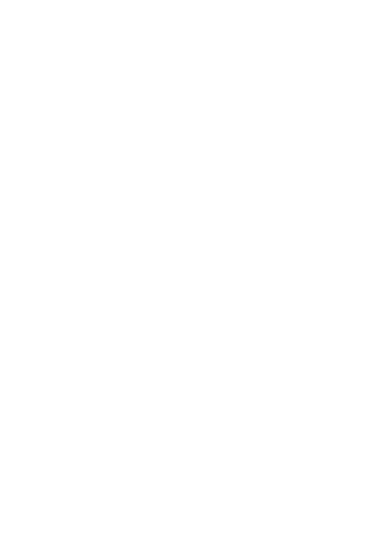### *Task 2 size frequencies*

Task 2 size samples and catch at size, respectively, must be reported to ICCAT in two different electronic forms:

- ST04-T2SZ: observed size frequencies (T2SZ)
- ST05-T2CS: CPC estimations of the size composition of the catches (T2CS). Also known as reported CAS.

The SWO standard SCRS catalogues show the availability of both T2SZ (character "b") and T2CS (character "c"). As for T2CE, these catalogues do not show T2SZ/CS datasets with poor quality (poor time-area detail, size/weight bins larger than 5 cm/kg) available in ICCAT-DB but usually not used in scientific work (like overall CAS matrix estimations). Overall, the tendency to report higher resolution T2SZ/CS datasets has been maintained in the last decade. For both stocks there is a lack of some important datasets in various years.

The Group considers that the Secretariat's ongoing (since 2010) Task 2 data recovery/improvement work should continue with active participation of the CPC scientists.

In the preparation of the current SWO data preparatory, USA recovered and provided to ICCAT the SWO dead discard size samples (T2SZ) for the period 1992-2009, a missing series unavailable in the ICCAT-DB (data recovery requested by this Group in 2017). This information was made available to the Group which approved it.

Other CPCs including Belize, Brazil, China PR, Côte d'Ivoire, Korea Rep., Panama, St. Vincent and Grenadines, and UK-Bermuda, should provide updates of Task 2 size data with higher resolution due to incomplete series or highly aggregated time are data. The Secretariat will provide support in those revisions.

No new SCRS documents that included Task 2 revisions or recoveries were presented to the Group by ICCAT CPCs. The Secretariat presented, however, a detailed analysis of all the T2SZ information available in the ICCAT-DB.

Document SCRS/2022/060 presented the size sampling data of North and South Atlantic swordfish stocks. Size data were reviewed, and preliminary analyses were performed for its use within the stock assessment models. The size samples data were standardized to straight-lower jaw fork length units and aggregated to size frequencies samples by main fleet/gear type, year, and quarter. For the North and South Atlantic stocks, the size sampling proportion among the major fishing gears is consistent with the proportion of the catch since 1990, and most of the size samples come from the longline fisheries. The number of fish measured has decreased substantially in the last decades from both the North and South Atlantic fisheries. A review of the size-frequency data by fleets indicated no unusual shift of size data around 1992/93, which had previously been noted, for the main longline fleets. Size frequency data were aggregated by year, quarter, and fleetID for 5 cm lower limit size-class bin.

The Secretariat informed the Group that the detailed analysis presented reflects the T2SZ information available in December 2021. The document should be updated with the most recent T2SZ presented to the Group, which contains new size data recently added (e.g.: USA discard T2SZ series, Spanish longline T2SZ series obtained from T2CS) and the new curved/lower jaw straight fork length relationships (SCRS/2022/061). While some CPCs report size samples from all sources in ST04, the Group noted that some CPCs reported SWO size samples recorded by Domestic Observer Programmes only using the ST09 form (i.e., not reported on ST04 at all). Size samples reported this way are not being included by the Secretariat in the preparation of Task 2 size samples (form ST04) to be used as input for the stock assessment models, as there is no information to determine if information is doubly reported. The Group agreed that all size samples (including dead and live discards), regardless of how they were collected, should be reported using the ST04 form.

## *3.3 Catch-at-size, Catch-at-age, Weight at Age*

No updates of the overall catch-at-size (CAS) matrix estimates were made for this assessment. Thus, no catch-at-age/weight-at-age derived estimates were made.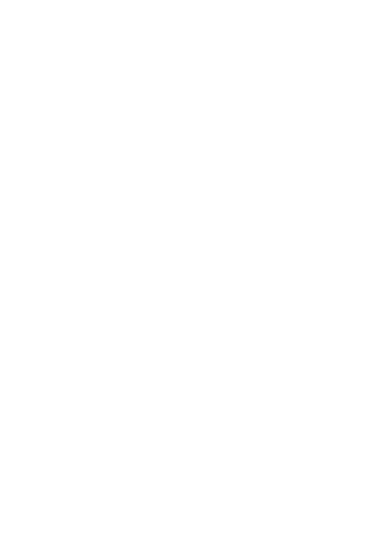### *3.4 Tagging data*

The Secretariat presented a summary of swordfish conventional tagging updated. **Table 6** shows releases and recoveries per year and **Table 7** shows the number of recoveries grouped by number of years at liberty. Three additional figures summarise geographically the SWO conventional tagging available in ICCAT: the density of releases in 5x5 squares (**Figure 6**), the density of recoveries in 5x5 squares (**Figure 7**) and the SWO apparent movement (arrows from release to recovery locations) (**Figure 8)**. In addition, the Secretariat also presented a swordfish dashboard to visualize tagging data dynamically and interactively (Snapshot in **Figure 9**).

The Group acknowledged the work of the Secretariat to develop the tagging dashboard and its usefulness. It was noted that under "Releases" the field "fleet" does not always match with the fleet that tagged the fish, but with a tagging programme, for example, tags reported as USA are sometimes tags distributed to other fleets to tag swordfish. The Group was informed by the Secretariat that the conventional tagging database is being revised aiming to recover (from the original files reported to ICCAT) and include the sex information. This was a request made by the Sharks Species Group.

The Secretariat has informed the Group that it has faced difficulties in incorporating the conventional tagging data reported by the USA between 2009 and 2016 (all species including SWO), and that the ICCAT-USA 2008 data exchange protocol on conventional tagging (Anon., 2009) may need a revision. The proposed solution by the Group to solve this problem is that the Secretariat works directly with USA scientists to (a) revise the existing data exchange protocol and (b) work on a complete submission by USA of all the conventional tagging datasets (which incorporates all the revisions to historical records).

In addition, the Group recommended that additional effort be devoted to recovering all SWO tagging data (conventional and electronic) from other projects outside ICCAT (see current ICCAT electronic tagging inventory at: [https://www.iccat.int/Data/Tag/ElecTags\\_consolidation.7z\)](https://www.iccat.int/Data/Tag/ElecTags_consolidation.7z).

Document SCRS/2022/052 presented results for tagging funded through ICCAT (16 tags) and NOAA (10 tags). Of the 26 tagged individuals, data for eight was analysed for horizontal and vertical movements. In both the North and South Atlantic swordfish moved in several directions and travelled considerable distances. Vertically, swordfish spent the night-time close to the surface and the daytime in deeper/cooler waters. Additional tags are available, and tagging will continue through 2022.

The author was asked about the tagging process. In the longline commercial vessels, swordfish are kept in the water as much as possible and tagged with a pole on the dorsal side below the dorsal fin base, the tags had a single tether. In the case of the harpoon fishery tagging, a harpoon was modified to tag, with one tag having a Domeier's dart and the other three being equipped with small titanium darts.

The Group was informed that tags from a batch with battery issues were replaced by Wildlife Computers and additional three goodwill tags were also provided.

Regarding future tagging events, it was noted that the areas close to the current stock boundaries are a priority, however tagging in other areas could also be possible. Canadian and Brazilian scientists showed interest in deploying the tags that have not yet been distributed. Additionally, USA and Canadian scientists have expressed interest in contributing with further tag data for the analysis with tags deployed in their domestic tagging programmes. The Group was informed of a tag deployed off Florida that was recovered by the EU-Spain fleet and will be returned through the assistance of IEO (*Instituto Español de Oceanografia*); this will allow for detailed data recovery (data recorded by the tag every 5 seconds).

The Group was also informed that one of the tags deployed in the Mediterranean has pop-up and is stranded in the beach. Attempts to recover it were made but it has not yet been possible to do so, therefore the Group considers to be important to have hand-held Argos receivers that could be used to recover tags (see Recommendations section).

The high post-release mortality rate and the high percentage of premature releases was noted, resulting in few analysed tag data despite the tagging effort. It was noted that tagging in commercial longline vessels could lead to these mortality rates, as swordfish, despite being in good condition could have been hooked for varying times, decreasing the chance of survival. Tagging in harpoon or sports fishing is expected to have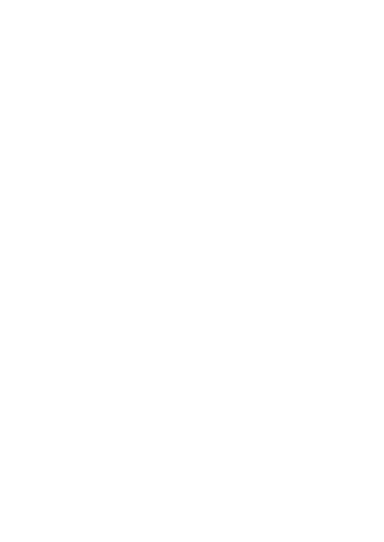a higher survivorship. Regarding premature releases, this happens in several species and few solutions have been put forward to mitigate this aspect. Double tethers can be considered, but those also present some logistical complications, especially when tagging in larger commercial vessels.

The Secretariat informed the Group that a new electronic database is being developed and the tagging data should be made available in the next 1-2 years. Some tagging data is already available in an OwnCloud for sharing data between those that are contributing data. This will be continued as more data becomes available.

# **4. Indices of abundance (individual and combined indices)**

The Group reviewed 17 fleet specific indices of relative abundance: 10 indices for the North Atlantic stock, and 7 indices for the South Atlantic stock. North Atlantic indices included nine pelagic longline standardized catch-per-unit-effort (CPUE) indices, and a larval survey index from the northern Gulf of Mexico. All seven indices for the South Atlantic were pelagic longline standardized CPUE indices. Discussions highlighted the need to 1) distinguish between retained catches only versus indices that record kept and discarded fish, 2) indices metrics in weight versus numbers of fish, 3) spatiotemporal properties, 4) standardization model assumptions and diagnostics, and 5) age or size classes referenced by the index. These were noted as particularly important for determining use in Stock Synthesis versus production models, as well as the joint longline analyses. The Group discussed the CPUE evaluation table recommended by the Working Group on Stock Assessment Methods (WGSAM) for both stocks (**Table 8** and **10** for North and South Atlantic stocks, respectively). **Table 9** lists the index values for the North Atlantic, and **Table 11** lists the index values for the South Atlantic. **Figures 10** and **11** plot the indices by stock.

The following list provides a summary of the different indices recommended for use in the stock assessment, followed by a detailed section on each index considered and the Group discussions.

North Atlantic indices of relative abundance:

- − Canada longlines (1962-2021): retained numbers of fish/(an effort offset) logbooks.
- − EU-Portugal longlines (1999-2020: retained and discarded weight/effort, observer/self-reported
- − EU-Spain longlines (1986-2019): retained weight of fish/effort, landing and voluntary trip records provided by the fleet, production models only.
- − EU-Spain longlines Age-specific (1982-2019): retained numbers of fish/effort, ages 1-5, landing and voluntary trip records provided by the fleet, for Stock Synthesis only excluding the age-1 index for 2016-2019.
- − Japan longlines (1976-1993, 1994-2020 except 2000-2005): retained numbers of fish/(an effort offset), logbooks.
- − U.S. longlines (1993-2020): retained and discarded numbers of fish/effort, observers.
- − Chinese Taipei longlines (1968-1989, 1997-2020): retained numbers of fish/effort, logbooks.
- − Morocco longlines (2005-2020): retained weight/effort, landing reports, revision recommended (completed and accepted by the Group before the conclusion of the meeting).

South Atlantic indices of relative abundance:

- − Brazil longlines (1994-2020): retained numbers of fish/effort, logbooks.
- − EU-Spain longlines (1989-2019): retained weight of fish/effort, landings/ landing and voluntary trip records provided by the fleet.
- − Japan longlines (1976-1993, 1994-2020): retained numbers of fish/(an effort offset), logbooks.
- Uruguay longlines (2001-2012): retained numbers of fish/effort, observers.
- − Chinese Taipei longlines (1968-1990, 1998-2020): retained numbers of fish/effort, logbooks.
- − South Africa longlines (2004-2020): retained weight of fish/effort, logbooks.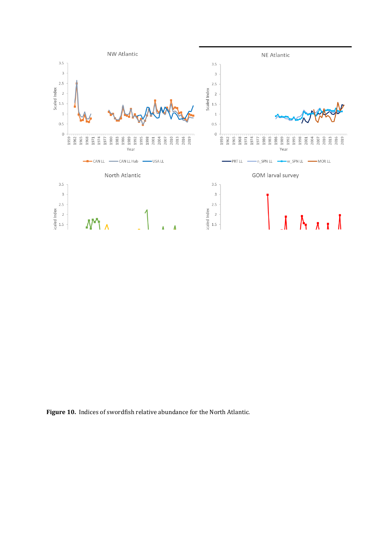### *4.1 North Atlantic Indices*

### *Japan longline CPUE (SCRS/2022/046): JPN LL*

Japanese longline operational data were standardized by two separate regions (North and South of the 5°N latitude stock boundary) and split into two time periods (Early: 1976-1993, and Late: 1994-2020). Multiple GLMMs were tested, including alternative factor treatments and error distribution assumptions. A Bayesian spatiotemporal GLMM was applied for the base index assuming 1x1 spatial and quarterly strata. The index values for the period 2000-2005 were recommended to be excluded from the stock assessment models due to changes in the collected data structure. It was recommended to the author that the standardization of CPUE evaluate the effect of including the input data for 2000-2005 years within the spatiotemporal model of standardization used so that this might be reviewed for the 2022 Stock Assessment meeting (20-29 June 2022).

The Group noted that the 2017 CPUE showed a steep decline plus that 1974-1975, and 2020 CPUE were not used. The author answered that before 1975, there were no data about the hooks between floats and vessel name.

The Group noted the change in model structure from previous analyses that focused on a core fishery area to the wider data spatial coverage and application of the spatial mixed effects model. The model can be considered more robust to uncertainty in swordfish distribution relative to the core area assumptions. The final indices were the summarized posterior distributions of the least squared (LS) means (R-INLA), and it was noted that model uncertainty estimates, and credible intervals are not directly comparable to the estimates of CV and confidence intervals from maximum likelihood estimators used in the fixed effects GLMs.

The Group had some concerns in the trends and heterogeneity of the model residuals and suggested looking at plots of the residuals by predictor variable. The author agreed that there are some nonrandom residual patterns with regards to the predicted zero catch values, likely due to the occurrence of swordfish as a bycatch species and a considerable number of zero observations in the data. The author also noted that multiple model constructs were tested, and the final model was chosen based on goodness of fit and information criteria statistics.

The Group requested additional summary plots for the index, including:

- 1. A plot comparing the new index with the prior one used in the 2017 Stock Assessment.
- 2. Additional residual plots requested (Q-Q plots, residuals by factor).
- 3. Recalculate the standardization of the late period indices, excluding the 2000-2005 data.
- 4. Rescaling on the nominal series separately for the two periods as well as the two standardized CPUE series to better see the yearly effect.

The Group reviewed the requested summary plots. Morocco scientists presented the updated CPUEs using a random effect for the year: month interaction, including diagnostics. The Group noted that the diagnostics were in general acceptable, even though the QQ plot showed some extreme outliers. The Group asked for several additional plots, namely the residuals against the month and year predictors; these were shown during the meeting. There were also issues related with the calculation of the CVs, and those were to be corrected in the final version. The author agreed to update the paper with those new analysis. The Group agreed that the final index was accepted to be used in the assessment models.

The Group recommended the spatiotemporal mixed model approaches be further evaluated by the WGSAM. In particular, it would be highly informative if these types of models could be tested with LLSIM data to compare performance with the other GLM and GLMM approaches that have been previously simulation tested.

### *Canadian longline CPUE (SCRS/2022/048), CAN LL*

Two indices of swordfish relative abundance for the Canadian longline fishery were presented. The first was a strict update of the index used in the 2017 Stock Assessment and the other included a habitat covariate. The Group commented that the drop in CPUE during the 1990s seemed to correspond with the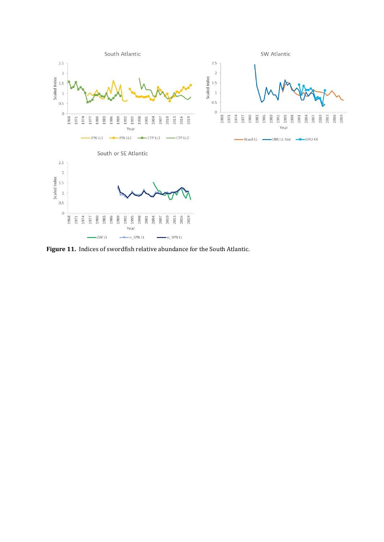trend in the habitat index. The authors mentioned the habitat index presented covered the entire spatial area, but the trend corresponding to the area fished may be different. The authors noted that a considerable amount of habitat values assigned to the Canadian data resulted in a zero-habitat score, despite those areas being a known hotspot for swordfish in the region. This was especially the case for inshore areas. The authors of the habitat index will further explore approaches to solve the issue, noting that in the oceanographic models the edges and areas close to shore are where errors are more likely to occur.

The Group discussed the splitting of the index during the 2017 Stock Assessment but confirmed the recommendation that the updated index be modeled as a continuous series in the 2022 Stock Assessment. The analyst clarified that the methods were updated to run all samples at an aggregated trip level to produce a continuous series, while the prior analysis treated the early trip-level data for the whole time period and at the set-level for more recent data.

## *Chinese Taipei longline CPUE (SCRS/2022/050), CTP LL*

SCRS/2022/050 presented the abundance index of swordfish for the Chinese Taipei tuna longline fishery in the North Atlantic Ocean. To address the impact of a targeting shift from albacore to bigeye tuna, catch and effort data were standardized by period using generalized linear models. The early period starts from 1968 to 1989 and the late period from 1997 to 2020 with operation type information considered in the analysis. The abundance trend showed a decreasing trend in the very early period, but suddenly increased to a higher level during the early 1990s as a result of the targeting change, and then dropped sharply in the late 1990s and stabilized until present.

The Group discussed this updated analysis and especially with regard to the earlier period. The authors clarified that there were no differences between 1968 and 1989 compared to the last 2017 Stock Assessment, and that the differences in the analysis are in the more recent periods. The recommendation was to use the two period indices, one for the period 1968 to 1989, the second for the period 1997 to 2020, and excluding 1990-1996. The Group requested the figures comparing the nominal be rescaled for the two periods separately, which were provided during the meeting. Additionally, it was suggested that alternative targeting variables could be explored that look at catch clustering.

## *EU-Portugal longline CPUE (SCRS/2022/054), POR LL*

SCRS/2022/054 provided standardized CPUEs for swordfish captured by EU-Portugal pelagic longline fishery in the North Atlantic Ocean. The analysis was based on data collected from fishery observers and self-sampling (where measurements were taken by the crew), collected between 1995 and 2020. In general, the nominal CPUE trends increased during the period with some inter-annual variability. Various models were tested, and the final model was a GLM Tweedie, with interactions and the use of the habitat index variable. The standardized CPUEs showed similar trends with an overall increase during the period, with some oscillations.

The Group asked about the depth of the fishing operations and especially if there was some deeper swordfish fishing, such as the meso-pelagic fishery in the Mediterranean. The authors clarified that this fleet always operates in shallow depths during the night, and that there are no meso-pelagic operations taking place. The Group also asked about the size distribution and if there had been any changes. The authors clarified that for this fleet the sizes have remained mostly stable along the entire period, with some increases in mean sizes around the late 2000s.

## *United States longline CPUE (SCRS/2022/055), USA LL*

Annual indices of swordfish relative abundance in the western Atlantic Ocean for the period 1993 to 2021 were presented, based on the United States pelagic longline observer data. A negative binomial generalized linear model evaluated multiple factors considered to affect swordfish catch rates, including year, month, fishing area, gear characteristics, and environmental conditions. Significant factors included year, month, area, target species, sea surface temperature, hook type, bait type, day/night, and light sticks. Methods followed the previous analysis and recommendations and incorporated an additional six years of data (2016 to 2021).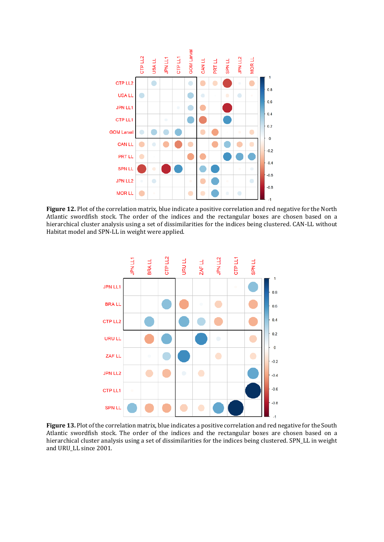The Group acknowledged the detailed information and model diagnostics provided, including the influence plots as particularly helpful to understand the factor effects on model standardization, as well as the usefulness of seeing the index time series with the various fleet regulations timing overlaid. The author agreed that the influence plots are a highly informative diagnostic and offered to share model code to be considered in the best practices guide for diagnostics in CPUE standardization.

The Group asked, with regards to the various hook types and fleet-wide regulations, if there was sufficient data and overlap in the transition period. The author explained that there was a period with experimental hook sets where hook type was tested, as well as a period of overlap in the data where both types were deployed. They further noted that those experiments were conducted in particular areas, and there could be some potential confounding effects. However, the author noted that there was significant work done on the model standardization for the last Stock Assessment in 2017, including testing different data treatments, factor inclusion, model structures, and explicit evaluation of hook type effects estimated across the data series and compared to the experimental treatment with overall good agreement between the two approaches.

### *Moroccan longline CPUE (SCRS/2022/056), MOR LL*

A lognormal GLM of Moroccan longline swordfish CPUE was used to update the standardized index of abundance. The fleet targeted swordfish south of the Moroccan Atlantic Coast during the period 2005-2020. The analysis covered a total of 1796 trips. The index showed considerable fluctuations over the time series, with a decline observed to 2018, but increased since then.

The Group noted the relatively few factors included in the standardization (i.e., only year and month), and asked for clarification on the Year-Month interaction and model performance on the large number of model parameters for available data. The authors clarified that in some of the combinations there was no data, so parameters were not estimated for all the possible combinations (as seen in the degrees of freedom).

The Group asked for clarification on the index calculations from the LSMeans, given the year-month fixed interaction. It was noted it would be useful to provide a plot with the time series of the year effect for each month, as with an interaction the trends of the years for each of the months will be different. The Group noted options for alternative factor treatments, including modeling the interaction as a random effect. It was also noted that the LSMeans package in R estimated the yearly mean incorporating the interaction automatically. The Group requested a comparison on the provided index with a model that treated the year\*month interaction as a random effect to validate the index estimates.

#### *Gulf of Mexico larval index (SCRS/2022/059), GOM larval*

Fishery independent indices of swordfish spawning biomass in the Gulf of Mexico were presented utilizing NOAA Fisheries ichthyoplankton survey data collected from 1982 through 2019. Indices were developed using the occurrence of larvae sampled with neuston gear using a zero-inflated binomial model, including the following covariates: time of day, month, area sampled, year, gear and habitat score. The habitat score was based on the presence/absence of other ichthyoplankton taxa and temperature and salinity at the sampling station.

The Group commented on the results with regards to the temperature and salinity, and that it would be useful to plot not only the frequency of occurrence of the positives but for all the distribution of all the tows carried out in the entire areas. The Group asked about the correlation between larval density and density of larval predators. The author pointed out that there is a plot in the paper with the occurrence of SWO larvae in comparison with other taxa, and that in most cases the p-values for the correlations are low.

The Group discussed the low number of specimens associated with the index, which ranged between 0 and 19 total individuals detected per year. Specifically, the Group questioned the timing and location of the survey relative to swordfish spawning areas/seasons, and how representative the survey may be compared to the total swordfish spawning biomass. The author pointed out that previous work in the Gulf carried out year-round surveys and found that most of the SWO larvae were found during the period of April and May, corresponding to the survey data collected for the study.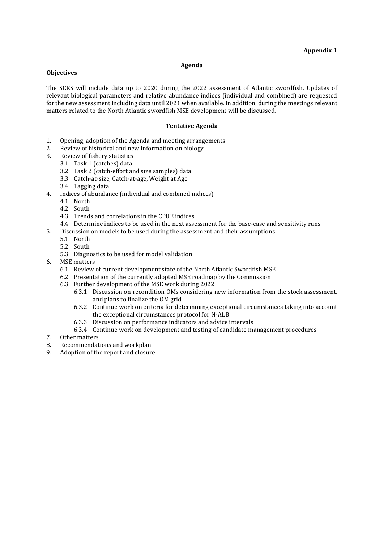The Group also commented on the high interannual variability, likely associated with the relatively low occurrence of a few specimens per year, and that the variability is likely outside the range of biological plausibility. This includes years with zero detections and resulting index values equal to zero, which does not likely characterize the stock spawning biomass changes over time. It was recommended that sizerelated mortality be considered for the next assessment. The index was excluded from the last assessment and is recommended to be excluded for this assessment.

## *EU-Spain longline indices (Ramos-Cartelle et al., 2022 and Mejuto et al., 2022), SPN LL*

The authors provided a presentation summarizing the document presented in 2021 with updated swordfish indices from the Spanish longline fleet for the period 1986 to 2019. Ramos-Cartelle *et al.*, 2022 updated the swordfish standardized catch rates (in weight and in numbers), while Mejuto *et al.,* 2022 updated agespecific 1-5+ catch rates in number of fish also for the North Atlantic. The standardized CPUE for age 1 suggests a very positive phase of recruitments during 1997-2019, which resulted in positive effects on other ages including age 5+ and the subsequent demographic changes since mid-1990s onwards.

The indexes incorporated important changes in fishing strategy, including gear monofilament and fleet targeting. From the two alternative data treatments presented, the biomass index is recommended for use in the surplus production models, and the age-specific abundance indices for use in Stock Synthesis. The authors noted a reduction in the number of observations after 2011 fulfilling the strict sampling protocol established for the age-specific analysis, as well as a change in the current management system implemented at domestic level based on the strict annual quota per vessel that is likely causing an underestimate in the abundance index in relation to the fishing strategy of previous historical period. Additionally, the minimum size tolerance was unilaterally cancelled by the CPC at a domestic level between 2007 and 2009, but the confusion generated has been carried over to the present. Therefore, values of CPUE age 1 should be considered with caution since year 2010 but especially for the most recent periods and at least after 2015 in particular since they were probably underestimated. The authors of the paper recommend rejecting, at the very least, those values of age 1 since from 2016 (inclusive) onwards.

# *4.2 South Atlantic Indices*

Five documents describing the standardization methods, and associated CPUE time series, were presented in the Data Preparatory meeting from the following CPCs: Brazil, EU-Spain, Japan, South Africa and Chinese Taipei. In addition, two sets of relative abundance indices from Uruguay, that had previously been presented (Pons *et al*., 2014 and Forselledo *et al.,* 2018) were made available to the Group as background documents but had not been updated. The Group noted that most of the indices that were available for the last 2017 Swordfish Stock Assessment (2017) had been updated, except for the Uruguay longline (where the fishery ended in 2012). The Group welcomed the increase in submissions of swordfish CPUE standardization papers from the South Atlantic since the previous Swordfish Data Preparatory meeting in 2017 and acknowledged the participation of the CPC scientists.

## *Brazilian longline indices (SCRS/2022/057), BRA LL*

Standardized catch rates of swordfish from the Brazilian longline fleet were produced for the period 1994- 2020. The analysis included catch and effort data distributed across a wide area of the Southern Atlantic Ocean, aggregated by 5x5 spatial squares. The standardization model was a GLM using a Delta Log-normal approach that included year, quarter, clusters, hooks per floats, number of hooks, and spatial square. The results indicate an initial decreasing trend between 1996 and 2001 that remained relatively stable thereafter to 2015. A steady decrease was observed at the end of the time series (2016-2020).

The Group acknowledged the updated methodology applied, particularly the data preparation processes, which resulted in the removal of the historical period (1978-1993) that was characterized by high variability yet flat overall trend. Under the revised data treatments, the splitting of the index in the previous assessment has now changed to a recommendation to use a continuous series from 1994 to 2020. Also, the authors explained that the American-type longline was introduced in the Brazilian fleet in 1994, when the swordfish became the target species, minimizing, at least partially, the impact of the target species change in the updated time series and used only logbook data, which differed from the used approach in the previous analysis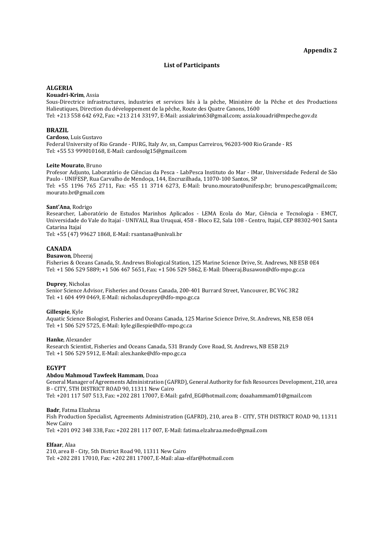## *Spanish longline indices (Ramos-Cartelle et al., 2021), SPN LL*

The authors provided a summary presentation of the updated EU-Spain longline index presented last year. Two indices (in weight and in number) were prepared for the period 1989-2019, each showing a period of stability (1993-2004) followed by a slight but sustained upward trend.

The Group noted that the recent increasing CPUE trend reported by EU-Spain for the South Atlantic was a result of an increase in the number of fish, in contrast to the North Atlantic where the observed increase in CPUE by EU-Spain was attributed to an increase in the average size of fish. The Group recommended evaluation of the targeting variable which was modeled as the fraction of SWO in the catch, particularly exploratory analyses that depict the relationship between the annual median/mean ratio and the estimated CPUE the index values. Further recommendations were made to explore alternative targeting metrics (e.g., the South African longline targeting cluster approach), but it was noted that the approach is more effective in fisheries with numerous species caught and less effective in those with a limited number of species observed.

## *Japan longline indices (SCRS/2022/046), JPN LL*

The document is discussed in the previous section 4.1, and the recommendations are consistent with those for the North Atlantic indices. The recommendation is to use the index for the South Atlantic by two periods, 1976 to 1993, and 1994 to 2020. The additional data plots requested for the North Atlantic were also requested for the South.

### *Uruguay longline indices (Forselledo et al., 2017, Pons et al., 2014), URU LL*

This was a historical series and remained unchanged from the previous assessment. This was from a fishery that has now ceased.

## *South Africa longline indices (SCRS/2022/049), ZAF LL*

Standardized catch rates of swordfish from the South African longline fleet (2004-2020) were modeled using a GAMM with a Tweedie distributed error. A targeting factor was derived y clustering Principal Components Analysis (PCA) scores of the root-root transformed, normalized catch composition, and resulted in three clusters being included in the model. A definitive seasonal trend in catch rates was evident. Results indicate an initial decline (2004-2010) in CPUE followed by relative long-term stability thereafter, despite inter-annual variation.

The Group noted the variable *month* was fitted using a cyclic cubic smoothing function as opposed to the conventional method of treating seasonal parameters as factors, which resulted in a strong domed seasonality with a peak in June. The author indicated that the estimated seasonal pattern matched the observed seasonality of the fishery.

## *Chinese Taipei longline indices (SCRS/2022/051), CTP LL*

SCRS/2022/051 presented the standardization of swordfish catch and effort data for the Chinese Taipei distant-water tuna longline fishery in the South Atlantic Ocean. The dataset was separated into three periods to consider changes in targeting, resulting in an early (1968-1990) and two late periods (1991- 2020 and 1998-2020). In general, catch rates showed a decreasing trend through the 1970s, and stabilized during the 1980s. The trend started to decrease from the early 1990s, with a further drop to lower level in the late 1990s, and then stabilized over the two most recent decades (1998-2020).

The authors confirmed that catch ratios, as a proxy of targeting, were not explicitly included in the model but rather used to identify changes in targeting which were then treated as time blocks in the time series, resulting in the three various periods presented. Furthermore, the authors indicated that the periods 1968- 1990 and 1998-2020 were considered most appropriate for stock assessment inclusion. Additionally, it was suggested alternative targeting variables could be explored that look at catch clustering.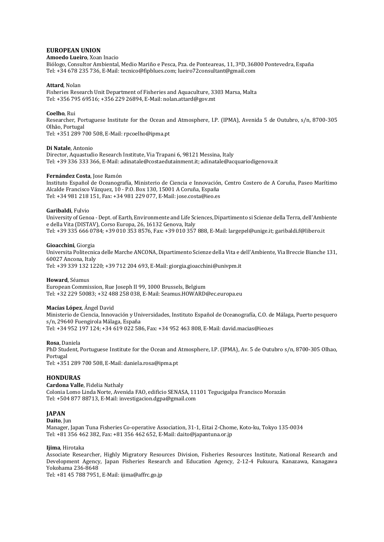### *4.3 Trends and correlations in the CPUE indices*

The Group reviewed updated figures for trends and correlations of the CPUEs for each stock that were discussed at the 2017 Data Preparatory meeting. The aim was to identify CPUE data conflicts, understand the magnitude of correlation (both positive and negative) between CPUE indices, and capture the overall trends for the available indices. Especially the plot of the correlation matrix can identify similarities and dissimilarities of the indices. Generally, if indices represent the same stock components, then it is reasonable to expect them to be correlated. If indices are not correlated or negatively correlated, i.e., they show conflicting trends, this may result in poor fits to the data and bias in the estimates unless the models have some spatial structure. Therefore, the correlations can be used to select groups that represent a common hypothesis about the evolution of the stock. The Group also noted that the age range of catch and fishing areas for each fleet also need to be taken into account when the Group selects the indices for the stock assessment.

The Group reviewed **Figures 12** and **13** for the North and South Atlantic stocks.

### *North Atlantic*

The following observations were made by the Group while reviewing the North Atlantic CPUE indices:

- 1. Indices in the NW Atlantic seem to have a general decreasing trend, while in the NE Atlantic are mostly increasing.
- 2. This pattern is similar to what had been observed in the last 2017 Stock Assessment. At the time the inclusion of an environmental effect in Stock Synthesis (related with AMO) allowed for the conflict to be reduced in the indices.
- 3. Some indices have relatively higher inter-annual variability when compared with others, especially in some years. The GOM larval survey is the index with the highest inter-annual variability.
- 4. The indices with the highest negative correlations indices (relative severity in brackets) were:
	- a. EU-Spain LL and EU-Portugal LL (high)
	- b. EU-Spain LL and Chinese Taipei LL1 (high)
	- c. EU-Portugal LL and Japan LL2 (medium)
	- d. EU-Portugal LL and Morocco LL (medium)
- 5. Positive correlations were observed between the following indices:
	- a. EU-Spain LL and Japan LL1 (high)
	- b. EU-Spain LL and Chinese Taipei LL2 (high)
	- c. Canada LL and Chinese Taipei LL1 (medium)
	- d. Gulf of Mexico larval survey and EU-Portugal LL (medium)

## *South Atlantic*

The following observations were made by the Group while reviewing the South Atlantic CPUE indices:

- 1. Potential conflicting CPUE data between Japan LL2 (increasing) and Chinese Taipei LL2 (decreasing) from 2013 onwards.
- 2. The early period (1982-2002) of the Uruguay LL historical index has high annual variation.
- 3. The final point estimate (2012) of the Uruguay LL index deviates substantially from the previous years.
- 4. EU-Spain LL index has relatively low inter-annual variability, when compared with the other South Atlantic indices.
- 5. Negative correlations were observed between the following indices (relative severity in brackets):
	- a. Brazil LL and Uruguay LL (high)
	- b. EU-Spain LL and Brazil LL (high)
	- c. EU-Spain LL and Chinese Taipei LL2 (high)
	- d. Chinese Taipei LL2 and Japan LL2 (medium)
	- e. Brazil LL and Japan LL2 (low)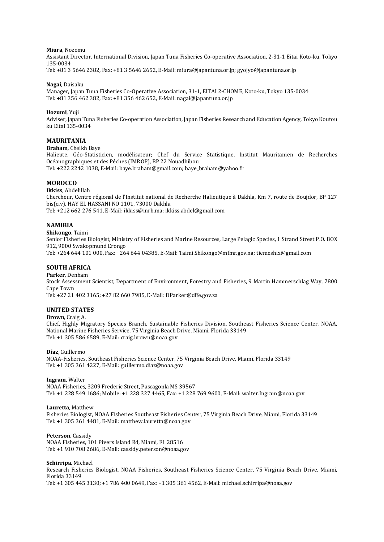- 6. Positive correlations were observed between the following indices:
	- a. EU-Spain LL and Chinese Taipei LL1 (high)
	- b. South Africa LL and Uruguay LL (high)
	- c. Uruguay LL and Chinese Taipei LL2 (medium)
	- d. EU-Spain LL and Japan LL2 (medium)

# *4.4 Determine indices to be used in the next assessment for the base-case and sensitivity runs CPUE table*

The Group reviewed and updated the table (**Tables 8** and **9**), developed by WGSAM, describing the attributes of the CPUE indices that could be used in the modeling of the northern and southern swordfish stocks. A final decision on which indices to use was contingent on the evaluation of extra work assigned to particular index developers (Canada, Chinese Taipei, Japan, Morocco, Spain and Chinese Taipei). These extra tasks were to be completed before the conclusion of the meeting and were noted in the table.

The Group discussed whether the Canadian index should be split as in the 2017 Stock Assessment, and it was clarified that the Group in 2017 felt that it was justified because of the deviation of the nominal CPUE from the standardized CPUE. It should be noted however that other Species Groups (SKJ) encountering the same issue do not view a deviation from the nominal to be a criterion on which to evaluate the suitability of an index. It simply means the standardization is accounting for differences over time related to changes in q. The Group's final decision was to include the index as a single, continuous series in the 2022 Stock Assessment model.

Of the two Canadian CPUE series provided, the series that did not include habitat in the model was adopted due to concerns over having habitat suitability values of zero assigned to 20% of the fishing data which tended to occur in choice swordfish fishing areas.

It was agreed to drop the Japanese northern stock index values for 2000 to 2005 due to the low quality of the logbook data. It was also clarified that the CV for this index relates to Bayesian credible intervals derived from the posterior distribution of the estimates rather than by maximum likelihood estimation.

The USA indicators were based on strict updates and given that there was no support to include the larval survey in the 2017 Stock Assessment, it was recommended to exclude it from the current assessment. However, it was recognized that the larval index could be used post-assessment to compare its trend with the trend in the different components of the population.

The review of indices for the South Atlantic recognized that the updated Brazilian index is no longer split but is a continuous series from 1994 to 2020. Further, the Uruguayan indices were not updated due to the cessation of fishing.

## *Data inputs*

The Group agreed to use Venezuela's recently submitted Task 1 and 2 data rather than catch estimates based on previous years; however, in Senegal's case it will be necessary to use an average of previous years catches to fill in missing catch.

It was noted that Canadian size composition data for the catch was submitted in form ST04 while form ST09 contains the at-sea-observer data including discards. It was recognized that the ST09 data should be submitted in form ST04 in order to be able to create the size compositions for the Canadian longline fleet. Given time constraints, a revision would not be possible in time to be included in the modeling, consequently it was agreed that Canada would provide the Secretariat with discard data in the requested format. Further, it was identified that several other fleets have provided discard size data in ST09. The most important of these was Chinese Taipei for which there is no evidence of catch below the legal limit in ST04. The Secretariat agreed to meld size composition data from forms ST09 and ST04 while attempting to avoiding duplication as much as possible.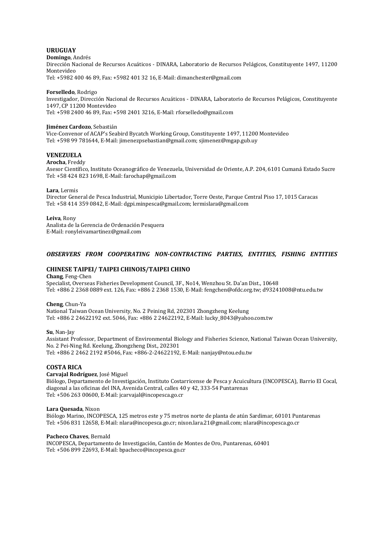### *Combined index*

The Group discussed the creation of a combined index for the North that could be used in a surplus production model and to support the swordfish MSE. Many National Scientists (CAN, EU-Portugal, USA, and Chinese Taipei) have indicated that they are able to provide set level data by month and by 1x1 or 5x5 grid squares. It was noted by the USA that the resolution of the data will affect data set size because of confidentiality issues.

Morocco indicated that it could provide trip-level data for 5x5 grid cells and it was encouraged to conform with the request to the degree possible. For example, it was indicated that the depth of fishing could be a rough estimate. Japan's contribution of data by 5x5 grid square depends on receiving the necessary permissions. Spanish scientists are still to confirm data availability and co-authors of previous analyses will be consulted. It was noted that format for the additional information requested (i.e. the finer spatialtemporal resolution together with environmental data and gear features that have not already been submitted) was described in a template sent to National Scientists.

Noting that the data from National Scientists could be at different levels of aggregation, it was suggested to explore modeling techniques appropriate for this type of mixed data. It was noted that it was important to keep units consistent, most specifically, the type of catch (retained vs. retained and discarded) and units of measurement (number vs. weight).

### *Timeline*

The Group reviewed and discussed the timeline for the delivery of assessment model inputs. The timeline was modified so that all model inputs sould be available by 15 April. Extra work related to the indices is to be completed during this meeting. Task 1 and Task 2 (including length composition for discarded lengths) related data inputs will be available by 7 April and data for the northern swordfish combined index is due on 10 April. The combined index should be available by 15 May 2022. No combined index will be developed for the South Atlantic because of time constraints.

It was proposed that a growth curve be developed from the samples from the Swordfish Sampling Programme and provided by 15 May for use in the assessment model. Concerns were expressed related to the proper vetting of the new growth information and the impact on the quality of the assessment work given the existing workload and time constraints. The Group resolved that estimating a new growth model must be given adequate time because of implications to the assessment outcomes. Accordingly, the Group agreed that establishing a new growth curve would occur in future assessment years but that time permitting and if the data are available, then a sensitivity run considering the new growth data may be considered.

It was also discussed whether to simply provide the new age information as an input to Stock Synthesis along with a prior based on the existing growth model and let Stock Synthesis estimate the growth curve, but concerns were expressed on how well the age data inputs would cooperate with the other data in the model. This approach also implies we are accepting the data. The Group discussed including the new growth information in a sensitivity analysis and it was felt that an uncertainty axis should be reserved for difficult to estimate parameters (e.g., steepness and natural mortality).

Finally, the Group recognized the importance of the combined index for advancing the work on northern swordfish MSE and the need to keep the MSE and assessment model inputs consistent.

## *Limit Reference Points*

The Group briefly discussed the availability of new information for establishing a limit reference point (Blim) for the northern and southern Swordfish stocks. The interim Blim reference point is currently 0.4\*B/B<sub>MSY</sub> and new information is expected to be provided at the 2022 meeting of the WGSAM (31 May – 3 June 2022).

# *Projections*

Guidance on how the projections will be conducted will be provided intersessionally.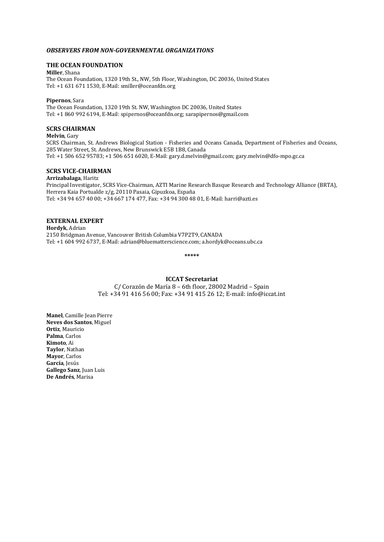### **5. Models to be used during the assessment and their assumptions**

# *5.1 North*

### *5.1.1 Surplus Production Models (ASPIC)*

The surplus-production model incorporating covariates (ASPIC, Prager (1992)) will be used. The Group felt the continued use of this model would be educational in tracking the use of different modeling platforms over time.

#### *Critical Model assumptions*

In ASPIC catchability and selectivity of fisheries and indices are constant over the entire time period, any changes in catchability have to be modeled within the CPUE standardization process. There is an immediate response of the stock to fishing mortality, no age-delayed response.

#### *Model Inputs*

Catch and CPUEs non-age specific series. Catch should be Task 1 NC total removals (landings plus dead discards). To evaluate as sensitivity run by including mortalities estimates from the live discard reports.

#### *Model outputs*

Trajectories of F and B. Trajectories of relative F and B. Catchability q for each CPUE series. Confidence intervals. Carrying capacity K, B1/K, r. Projections

### *Diagnostics*

Sum of Squares. Residual plots of the fits to CPUEs. Retrospective patterns. Jackknife evaluation of input CPUEs.

*Key parameters* B1/K, K, r.

### *Uncertainties*

The ASPIC model assessment model does not allow for the inclusion of uncertainty of the model inputs (e.g., CV of the CPUE series). In prior assessments, uncertainty in the CPUE series was incorporated by making separate runs using the median and upper and lower 95% confidence intervals, bootstrapping the results, and combining the bootstrap outputs. Running the model using different production functions was also deemed as being a way to assess uncertainty.

### *Model strengths and weaknesses*

Because of the limited data requirements, this model is easier to be supported by the Secretariat. ASPIC is easy to use, and many National Scientists are familiar with its use. It is considered to be useful for data limited situations. ASPIC is fast to run and facilitates simulation testing. Because of the limited data requirements, it allows the use of longer time series where data from earlier periods are usually poor. It only estimates a few parameters, but these are typically the ones needed to provide management advice. ASPIC quickly produces diagnostics, bootstrap results, and projections. However, ASPIC as other SPMs does not necessarily reflect the true dynamics of the stock/fishery and it cannot take into consideration any variability in recruitment or changes in catchability. The model cannot accommodate changes in management regulations, like changes in minimum size, so this needs to be taken into account in the CPUE series. ASPIC often cannot resolve indices of abundance with conflicting trends.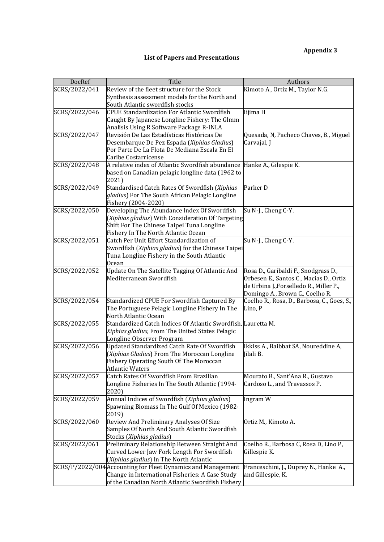### *5.1.2 Bayesian Surplus Production model - JABBA*

The Bayesian Surplus Production model, Just Another Bayesian Biomass Assessment (JABBA); (Winker *et al.,* 2018) will be used. JABBA offers an implementation that models both process error and observation error. JABBA provides a user-friendly R to JAGS interface for fitting generalized Bayesian State-Space Surplus Production models with the aim to generate reproducible stock status estimates and diagnostics. JABBA is generalized in the sense that the production function can take on various forms, including conventional Fox and Schaefer production functions, and can be fit using a variety of error assumptions. Key parameters include carrying capacity (K), the maximum rate of population increase (r), and the ratio of stock biomass in the initial year to carrying capacity (Bo/K). The software enables Bayesian integration for computation of marginal posterior probability distributions for parameters and management variables and outputs for inclusion in Kobe plots.

#### *Model assumptions*

A one-year lag adequately characterizes the influence of annual stock biomass on future surplus production as in any production. Abundance indices are related to stock biomass via a constant of proportionality whereby there is no hyperdepletion or hyperstability in the index. Surplus production can be described by the Schaefer model, Fox model, or the flexible Pella-Tomlinson production function.

#### *Model inputs*

Catch series. CPUEs non-age specific. Priors for K, r, B0/K, process error deviates. A fixed value for the prior standard deviation in process error deviates. A CV for each abundance index that is constant over time, and if judged appropriate, an additive CV by year for each abundance index.

### *Model outputs*

Posterior distributions for estimated parameters (r, K, Bo/K, sigma (index) if estimated, q(index)), stock biomass, MSY, annual F,  $F/F_{MSY}$ , B,  $B/B_{MSY}$ , and paired  $F/F_{MSY}$  and  $B/B_{MSY}$  estimates for Kobe plots.

#### *Diagnostics*

Plots of lognormal residuals of observed versus predicted CPUE indices by fleet, Root-Mean-Squared-Error (RMSE) and associated residuals runs-test to quantitatively evaluate the randomness of CPUE model residuals. MCMC convergence plots, plots of posterior median process error deviates by year, together with probability intervals by year, plots of post model pre-data distributions, priors, and posteriors. Retrospective patterns plots and hindcast cross-validation prediction skill. Jackknife analysis of CPUEs.

### *Key parameters* r, K, B0/K, BMSY/K.

#### *Uncertainties*

Uncertainties in estimated parameters, model variables, shown in posterior distributions, standard deviations, coefficients of variation, probability intervals. Option to include process variance for all modeled years or only starting in the year when the first abundance index becomes available. Observation variance is separated to distinguish between fixed input variance and estimable variance, where the estimable observation variance can be set to be the same value for all abundance indices or estimated separately for each index.

#### *Model strengths and weaknesses*

The model is not age structured, so it cannot handle changes in vulnerability at age. It uses available biological parameters data to develop a prior distribution for r, consistent with an equivalent stock age structure dynamics. Training is required to run the software proficiently. As with other surplus production models, it may be biologically inaccurate and therefore might not reflect the true dynamics of the stock. JABBA runs quickly and by default generates many useful plots and diagnostic tools for stock assessments. JABBA is implemented as a flexible, user-friendly open-source tool to promote reproducibility and provide a platform for future research.

## *5.1.3 Stock Synthesis (SS)*

As with the 2017 Stock Assessment (Anon., 2017b), the model Stock Synthesis (Methot and Wetzel, 2013) will be used in the North.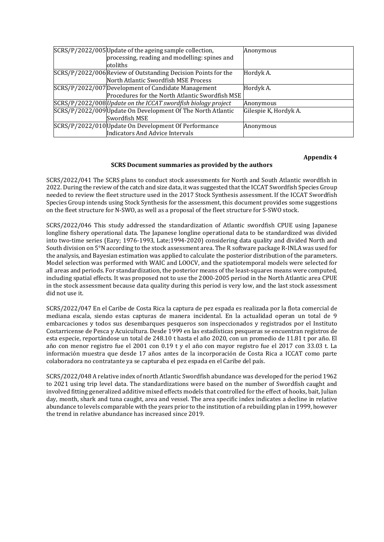# *Critical Model assumptions*

The Group discussed the continuity model run, noting some inconsistencies in the 2017 Stock Assessment input data that would be updated. Modelers indicated that compared to the 2017 model configuration there are many changes to the configuration of the model this time, some of which could be labor intensive to do an exact continuity model run in both ways, among others

- 1. The inclusion of discards and discard mortality.
- 2. Different time(s) split of the Japan CPUE series.
- 3. Updates on input size frequency data and catch series.

All biological and life history parameters will be carried over from the 2017 Stock Assessment.

The document SCRS/2022/041 presented a review and update proposal for the fleet structure for the Stock Synthesis model for N-SWO., The Group discussed it and agreed to the following changes compared to the 2017 Stock Assessment fleet structure:

- − Inclusion of a "harpoon fleet", as they inform the model on the population dynamics of the larger/ older fish component of the stock, and the potential productivity of the stock as catches of the harpoon fleet in the 1950s reached 5 thousand t per year, albeit they only average 150 t in recent years. There is sufficient size information from the harpoon fisheries to inform the model, and it was suggested to assume an asymptotic selectivity pattern for this fleet.
- − To create "others fleet", that will include catches from other LL fleets not elsewhere included, as well as the catches from other gears. It was decided to mimic the selectivity pattern of the US fleet (Fleet ID 2), and not include size information from other gears.

A summary of the updated fleet structure, catch, size input data, index associated, time period and other specific suggestions for each fleet is presented in **Table 12.** 

One aspect of the swordfish fishery not included in the 2017 assessment model is that of the minimum legal size limits adopted by ICCAT in 1991 (Rec. [90-02\)](https://www.iccat.int/Documents/Recs/compendiopdf-e/1990-02-e.pdf) and 1996 [\(Rec. 95-10\)](https://www.iccat.int/Documents/Recs/compendiopdf-e/1995-10-e.pdf). [Rec. 90-02](https://www.iccat.int/Documents/Recs/compendiopdf-e/1990-02-e.pdf) required CPCs to adopt a minimum size limit of 125 cm LJFL (25 kg live weight) with a 15% allowance for undersized fish. Rec. [95-10](https://www.iccat.int/Documents/Recs/compendiopdf-e/1995-10-e.pdf) allowed CPCs the additional choice of adopting a 119 cm LJFL with no allowance for undersize fish. The 2022 assessment will explicitly take these regulations into account by estimating dead discards resulting from the regulations (in length) within the assessment model, based on length frequency data. Reported dead discards will therefore not be included in the "catch" section of input data, as is typically done with stock assessment approaches; it is assumed that these fish were discarded in compliance with the minimum size regulations. See Schirripa and Hordyk (2021) for details on this method.

The Group also discussed the time blocks for the JPN LL fleet in particular. It was noted that compared to 2017, the current CPUE from Japan LL N-SWO was split at different years, the authors indicated that in 2021 the split of the index in 1994 was due to changes in the fishing gear and operations that imply changes in selectivity, while in the 2017 CPUE index the split was in response to the implementation of ICCAT management regulation that affected the fishery. It was also discussed the split of the Canadian LL index as in the 2017 assessment. The recommendation was to use as a continue series the Canadian LL index. The final decisions on the time blocks suggested for the stock synthesis model are provided in **Table 13** for the Japan LL fleet.

Furthermore, the following settings for the stock synthesis model were agreed by the Group for the initial model configurations of the 2022 evaluation.

- − Canada longline and Canada/US harpoon selectivity are asymptotic; all other fishery selectivity is allowed to be dome shaped.
- − A retention function corresponding to the minimum size limit will be implemented for each fleet (**Table 12a**).
- Fleet (and year if appropriate to account for such changes as circle hooks) specific discard/athaulback mortality will be used where available, otherwise an average value will be used.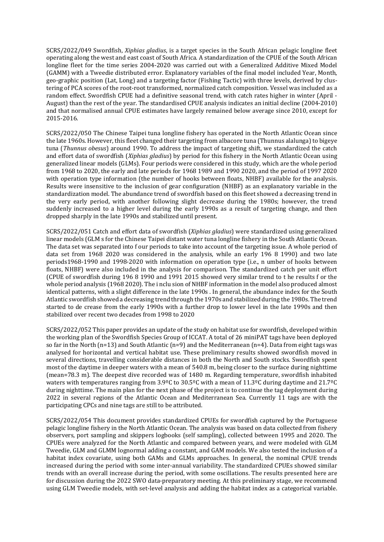Steepness will be attempted to be estimated. If the estimate is not deemed reliable it will be fixed at the previously estimated value from the 2017 Stock assessment (Anon., 2017b and *h* = 0.88).

### *Model inputs*

Stock Synthesis provides a statistical framework for calibration of a population dynamics model using a diversity of fishery and survey data. SS is most flexible in its ability to utilize a wide diversity of age, size, and aggregate data from fisheries and surveys. It is designed to accommodate both age and size structure in the population and with multiple stock sub-areas. Selectivity can be cast as age specific only, size-specific in the observations only, or size-specific with the ability to capture the major effect of size-specific survivorship. While SS can accommodate a multitude of data types two are required, those being a catch time series and an index of abundance. Conversely, a model can be built that incorporates multiple areas, seasons, sexes, growth and growth morphs, as well as tagging data. Environmental data can also be used to modulate most any parameter within the model. Size and age structure, size-at-age, ageing error and bias, and sex ratio can also be incorporated.

Stock Synthesis will use the size frequency input data as presented in document SCRS/2022/060 supplemented with size information provided during the meeting, with size samples aggregated by fleet structure, and year, in 5 lower limit size bins. Size data has been standardized to straight lower jaw fork length units using the curved-straight LJFL presented at the meeting (SCRS/2022/061). It was noted that size frequency data for the Canadian and Chinese Taipei fleets will be updated to include the size sampling observations from their Domestic Observer Programmes, data that is not included in the ST04-SZ forms. The Secretariat will provide catch and size data according to the fleet structure agreed by the Group (**Table 12**) in the input formats for the stock synthesis model.

The Group discussed at length the information provided on landed and dead-discards reported by CPCs (**Table 2 and 2a**), size information provided in ST04-SZ show swordfish samples below the current minimum size restrictions of 119 cm or 125 cm LJFL or equivalent in weight (Rec. [17-02](https://www.iccat.int/Documents/Recs/compendiopdf-e/2017-02-e.pdf) paras 9 and 10, Rec. [17-03](https://www.iccat.int/Documents/Recs/compendiopdf-e/2017-03-e.pdf) paras 6 and 7) for almost all fisheries (SCRS/2022/060) that include landed as well dead discards. It was requested to clarify if the series of CPUEs provided included also retained and discarded fish. This information is important to correctly allocate within the stock synthesis model the catch and size fraction of retained vs discarded components, although it was noted that management regulations provide the option of minimum size or minimum weight retention. It was indicated that recent studies suggest a swordfish mortality at haul back of about 79% (Coelho and Muñoz-Lechuga, 2019) for EU-Portugal longline fleet with traditional J-hooks, while for the US longline fleet that use circle hooks, this mortality is lower at about 70% (Diaz, 2020) noting that those values are for the overall size range in the SWO catch. Coelho and Muñoz-Lechuga (2019) also provide an at-haulback mortality estimation specific for specimens under 125 cm LJFL for the EU-Portugal LL fleet, which is about 85%. Other studies from the South Atlantic indicated lower mortality (71.5%) possibly associated with lower temperatures and larger size class of the fish occurring within this fishery (Anon., 2017a). Live discards and mortality associated information are important to properly assess the effects of the current ICCAT on the N-SWO minimum size regulations as requested by the Commission to the SCRS.

#### *Model outputs*

The SS model output is commensurate with the complexity of the model configuration and observational data. All estimated parameters are output with standard deviations. Derived quantities include typical management benchmarks such as MSY,  $F_{MSY}$  and  $B_{MSY}$ , and SPR. Typical matrices of numbers-at-age, growth, age-length keys are also provided.

#### *Diagnostics*

Diagnostics are routinely examined through either the graphical and numeric r4SS R package or the accompanying spreadsheet, graphical as well as numeric. Diagnostics are generally a display of residuals of the fit to the observational data and derived quantities. Numerical output is also available in the form of the Hessian matrix, correlation matrix, and a parameter trace output. When run in the Markov Chain Monte Carlo MCMC mode, the posteriors are also output.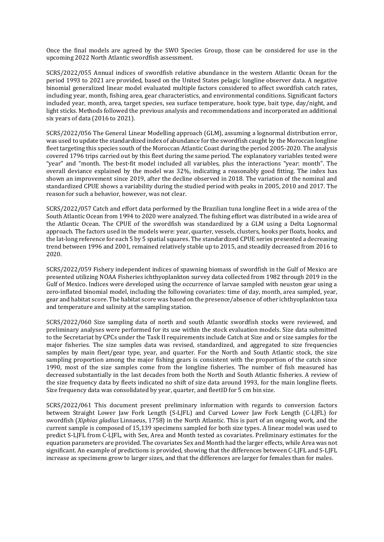### *Uncertainty*

Uncertainty can be captured in at least three ways: parameter standard deviation, the creation of bootstrap data files, or through MCMC techniques. The ADMB C++ software in which SS is written searches for the set of parameter values that maximize the goodness-of-fit, then calculates the variance of these parameters using inverse Hessian and MCMC methods. A management layer is also included in the model allowing uncertainty in estimated parameters to be propagated to the management quantities, thus facilitating a description of the risk of various possible management scenarios, including forecasts of possible annual catch limits.

For this assessment the variance-covariance matrix will be used to produce the uncertainty around estimates of  $F/F_{\text{MSY}}$  and  $B/B_{\text{MSY}}$  following the multivariate- delta approach (Walter and Winker, 2020).

The Group discussed the integration of uncertainty of the assessment, considering a single model uncertainty with sensitivity runs or alternatively an uncertainty grid design as has been developed with other species evaluations such as bigeye (Anon., 2021) in ICCAT. It was noted that often an uncertainty grid is used for key parameters in the model that are not possible to estimate with available data, such as natural mortality, steepness, or maturity. For the N-SWO stock, no new biological parameters were discussed at this meeting, it is expected that ongoing research on age and growth studies (SCRS/2022/008, SCRS/2022/005) will provide an update on the growth function for N-SWO, however the Group will need to review in detailed these results before they can be incorporated in the stock assessment. Therefore, the Group suggested that single model uncertainty and sensitivity analyses will be the approach to evaluate uncertainty for the present N-SWO assessment. It was further noted that in previous assessments, uncertainty from different model platforms such SPM and age-structured models were integrated as alternative option(s) to show uncertainty, particularly if the results from these models do not show similar results. This option is available for the current assessment upon reviewing the results from SPM for the N-SWO.

### *Key parameters*

Key parameters of SS are dependent upon the model configuration created. However, since it is agestructured the rate of natural mortality is most critical. The steepness parameter is also critical as it dictates the rate of compensatory population growth.

#### *Strength and weaknesses*

SS can utilize a great number of different types of data sources to build a custom model within a consistent framework. This is its greatest strength as it allows the user to build a model with flexibility equal to that of the data. Pre-processing of data is less than some other frameworks as it is fully integrated within the model structure. Similar to a BSPM, SS has full Bayesian capability. Unlike VPA, it can be run without a catch-agematrix by using only lengths or without lengths entirely. Consequently, no age slicing is needed. It allows for ways to explain changes in observations data that are due to changes in management or environment. Nearly all parameters can be made time varying in several ways. Forecasting is done within the integrated framework of the model construction. Some of the limitations of SS include a limited number of proficient users within the SCRS. Furthermore, because of its ability to create very complex models it can be slow to run relative to SPMs like ASPIC, but only if it is highly parameterized (i.e., run time depends on model complexity). The framework is capable of many options, so the user must be aware of model parsimony.

The Group discussed the strengths and weaknesses of including in the assessment process a surplusproduction model that is similar to those embedded within the R-package that is being used for the MSE effort. The model will be fully tested within the MSE process. While the software has gone through a code review is not maintained as part of the ICCAT stock assessment software catalogue and thus has not been accepted for use to provide formal management advice. While the Group recognized the benefits of using this model as it has potential for future use, the Group currently lacks the capacity to employ this model.

## *5.2 South*

The Group discussed potential stock assessment models to be applied to the South Atlantic, noting that the 2017 Stock Assessment included two models: JABBA and BSP2. Management advice in 2017 was derived from the JABBA assessment and there was consensus that JABBA would again be used in 2022 given that a continuity assessment would be beneficial. BSP2 is discontinued and will not be included in the 2022 assessment.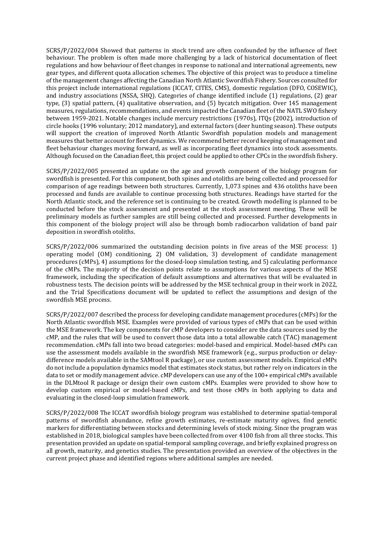For SPMs, structural and biological uncertainty is typically represented in the form of alternative values of r and the shape m of the production function, where Schaefer and Fox formulations are the most common choices. The Group requested that efforts be made to develop prior distributions for r based on known life history information. This has previously been implemented in two ways:

- 1. Unifying Parameterization between ASMs and SPMs for comparison purposes (Winker *et al*., 2020);
- 2. In the absence of reliable size and/or age structure information and in cases where life history parameters are uncertain, the R package FishLife was used to determine probable life history parameters from FishBase and then to generate distributions from a Multivariate Normal random generator based on predicted means and covariance matrices derived from FishLife (Winker *et al.*, 2018).

JABBA-Select was discussed as a potential model option as it incorporates life history parameters and fishing selectivity and is therefore able to distinguish between exploitable and spawning biomass. However, this model is yet to be reviewed by the WGSAM and is not currently included in the ICCAT Stock Assessment Software Catalogue.

The Group discussed the use of Integrated Age-structured models (e.g., Stock Synthesis) for the South Atlantic assessment, given that the true dynamics (i.e., size-structure) of the stock may not be fully captured by SPMs. Pertinent to this was the introduction of the minimum size limit for swordfish, the effects of which would be best captured by an Integrated Age-structured model. Implementing an Integrated Age-structured model for the South Atlantic swordfish stock assessment is a priority for the future.

### *5.2.1 Bayesian Surplus Production model - JABBA*

The Bayesian Surplus Production model, Just Another Bayesian Biomass Assessment (JABBA); (Winker *et al*., 2018) will be used. For details see section 5.1.2 above.

## *5.3 Diagnostics*

The procedures outlined in Carvalho (2021) and recommended by the WGSAM will be adhered to as closely as possible.

## **6. MSE matters**

#### *6.1 Review of current development state of the North Atlantic Swordfish MSE*

SCRS/P/2022/009 provided an overview of progress on the N-Atl swordfish MSE. The process has been ongoing since 2018 and uses the 2017 North Atlantic swordfish Stock Synthesis assessment model as a base-case with 7 axes of uncertainty (steepness, natural mortality, sigmaR, weighting between CPUEs and length composition effective sample size, a catchability increase, and an environmental variable) used to construct an OM grid. The swordfish MSE technical team has conducted work on the simulation framework, performance metrics, and initial CMP development. In 2022 the OM grid will be revised, considering changes made to the 2022 SS3 assessment model.

The group acknowledged the summary of SWO MSE progress.

## *6.2 Presentation of the currently adopted MSE roadmap by the Commission*

The currently adopted MSE roadmap by the Commission was shown to and discussed by the Group. One main item discussed was regarding Points 2 and 7 for 2022, that refer to dialogue with PA4 with regards to establishing operational management objectives and identifying performance indicators. Given that during 2022 there will be only a 1-day PA4 meeting in November, the Group suggested that the dialogue on this point may need to be continued into early 2023. To that end, the Group agreed there is likely the need for 3 meetings with PA4 during 2023: one earlier in the year for completion of those final management objectives and performance indicators, a second to receive feedback on CMPs format and construction, and a third later in the year (possibly just before the annual meeting) mainly for the SCRS to provide approximately 2-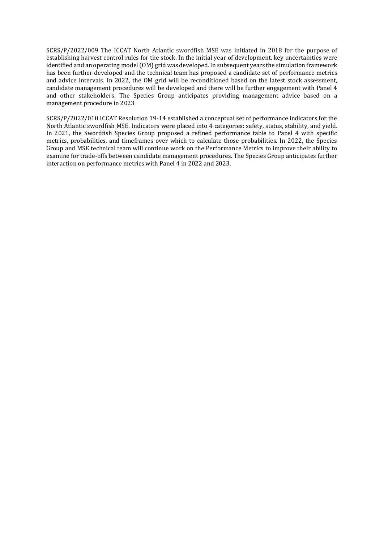3 selected CMPs to PA4 for consideration. SCRS has not had the opportunity to discuss with PA4 more refined objectives and the impact of various options on how CMP may be constructed. Having three meetings in 2023 allows there to be a back and forth between PA4 and SCRS to refine the CMPs (see Workplan, **Table 14**).

It was also agreed that a letter should be sent to the Chair of PA4 with the summary of the workplan, so that PA4 is aware of what the SCRS is expecting from PA4 with regards to SWO MSE inputs in later 2022 and during 2023, in each of those steps.

A revised version of the MSE roadmap reflecting those agreements from the Group is attached in **Appendix 5**.

It was noted that this version of the roadmap will continue to be worked by the Group during the year, and a final revision for the year will be prepared at the Species Groups meeting in September, after the new stock assessment has been conducted and the OMs have been reconditioned.

## *6.3 Further development of the MSE work during 2022*

*6.3.1 Discussion on reconditioning OMs considering new information from the stock assessment, and plans to finalize the OM grid*

The Group discussed reconditioning the OMs considering the new information that is available for the 2022 stock assessment. The Group also discussed the plans to finalize the design of the OM grid.

One of the axes of uncertainty in the OM grid is related to including environmental effects when fitting the model to the CPUE indices. The Group acknowledged that if CPUEs were corrected for environmental effects, it might not be necesary to include an axis of uncertainty related to environment. The Group agreed to pay further attention to whether environment continues to be one of the main uncertainties, after the assessment is complete.

The Group discussed using the Combined Index as the main data source and decided that it would be useful to make the other indices also available to the cMPs. The data lags of the CPUE indices that are to be used in the upcoming stock assessment, with terminal year varying between 2019 and 2021, were discussed. The contractor confirmed that, from a technical perspective, the different terminal years for the CPUEs are not a problem for the MSE.

The Group also discussed how re-standardization of the indices in the future could impact the process of applying the cMP . For example, re-standardization of the indices in the future when new data are available may result in changes in the historical values of the index. However, the MSE assumes that the values of the historical indices will not change in the future. The Group discussed this issue and suggested conducting some analyses to investigate how much the re-standardization process is likely to change the values of the indices. For the Combined Index it was noted that a comparison between the different indices over time could provide some insight into this issue.

The Group also noted that an important assumption of the MSE is that the CPUE indices will be available in the future based on the same data sources and methods used in the past. In case of all indices there is a potential problem if for some reason the index cannot be generated in the future and then it cannot be used in an MP. And in the case of the Combined Index if a National Scientist cannot provide data in the future this assumption would not be met either. Accordingly, some analysis (e.g., dropping a data source one at a time) could be conducted to simulate potential impacts of not having all data sources.

The Group discussed the request to determine the impact of the minimum size limit on the fishery. After some discussion on the difficulties of doing this, for example the paucity of data on fish caught below the minimum size threshold, the Group determined that this could be a discrete analysis that is separate from the primary MSE and would be investigated once the OM conditioning is complete and the management procedures have been designed.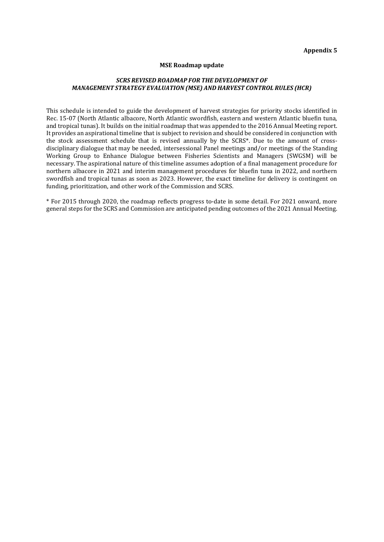*6.3.2 Review decisions points for MSE next steps including robustness tests (e.g., data lags), a red face protocol*

The contractor presented an overview of the outstanding decision points for the MSE process (SCRS/P/2022/006).

During the presentation, the [Trial Specification document](https://iccat.github.io/nswo-mse/TS/Trial_Specs.html) (https://iccat.github.io/nswomse/TS/Trial\_Specs.html) was also mentioned, where the current state of the swordfish MSE process is presented. This includes a description of the uncertainties in the grid, the contractor noted that the reasoning for the chosen uncertainties could be added to this description, instead of just stating the uncertainties and its levels.

The Group discussed the possibility of removing the relative weighting of the CPUE and catch at length (CAL) data from the uncertainty grid, as it may no longer be necessary if new features of the SS3 software that allows for the effective sample size (ESS) to be re-weighted in each OM in a relatively fast way are to be used. It was decided to re-visit this after the 2022 assessment has been finalized.

The Group discussed and agreed to move from the combined sex to the 2-sex operating models (OMs) in the MSE framework. It was agreed that it would be best for the structure of the OMs to replicate the structure of the SS3 models as closely as possible. This also allows for the possibility of larger differences in sex-specific life-history parameters (e.g. M), which current research suggests may be the case for swordfish. Spatial distribution of swordfish by sex was also discussed, in the current assessment a single area is considered and differences between sexes are given as probabilities of being male or female given the growth curve and selectivity applied, for example, larger fish in the catch have a higher probability of being female.

The Group discussed outstanding decisions related to OM validation and assumptions for the closed-loop simulation testing. Some robustness tests were briefly discussed, eg. simulating a recruitment failure, effect of the lack of data on undersized fish imposed by the minimum size regulation (e.g., setting the selectivity curves to start above the minimum landing size), mimicking the loss of data in the combined index, testing for different advice intervals. It was agreed that this work would be done once the OM grid conditioning was completed and could be addressed by the smaller MSE technical team who would report back to the Group later in the year.

OM weighting was also briefly discussed, it was noted that for now equal weight is being given to all OMs. It was argued that choosing a reference set of OMs (12-16) could lead to interpretation that these models would have higher weight. It was explained that the reference set could allow for focusing on the interpretation on performance metrics for different cMPs. Ideally this set would represent runs with the biggest differences in cMP performance, but the performance metrics would still be produced across all the OMs.

The Group discussed some red-face tests i.e., the evaluation of the plausibility of OM results given the current state of knowledge of SWO life history and fisheries for the swordfish MSE. The Group reviewed these proposed protocols and noted that the red-face tests should focus on model results (e.g., biomass trends by sex over time) rather than the model structure and inputs which would be examined during the assessment process. Finally, the Group added a list of additional potential red-face tests that were needed, and further intersessional work is required.

## *6.3.3 Continue work on criteria for determining exceptional circumstances taking into account the exceptional circumstances protocol for N-ALB*

A draft document describing exceptional circumstances protocols was presented and discussed by the Group. These protocols were based on those developed for albacore. The Group discussed the indicators, criteria, and frequency of the EC protocols, and updated the document to make it better reflect the swordfish fishery. It was noted that, while it was good to discuss these things now, the EC protocols could not be complete until the properties of the cMPs were known (e.g., which data are used).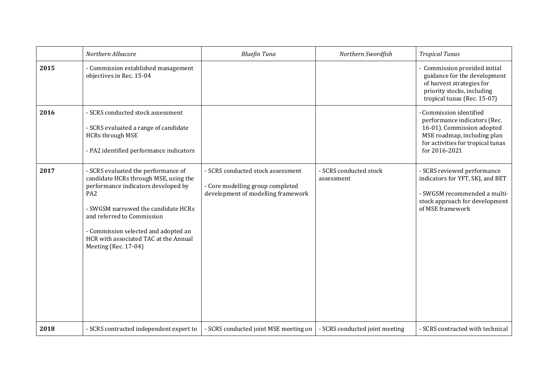It was also recommended that simulation work be conducted to inform the quantitative values specified in the EC protocols. For example, robustness tests could be conducted for detecting the situations that are most likely to result in undesirable outcomes for the fishery, and EC protocols could be designed to detect when those situations are likely to be occurring. It was also noted that, as the EC protocols were still in development, it would be best to not include the tables in the report.

### *6.3.4 Discussion on performance indicators and advice intervals*

SCRS/P/2022/010 provided an update on the development of performance metrics and advice intervals for the swordfish MSE process. A candidate set of performance metrics based on conceptual objectives (see Res. 19-14) were presented to PA4 in 2021 and the feedback from the Panel was described. This base set of performance metrics requires additional work on probability calculations, time frames, and the trade-offs associated with selecting a particular set of probability calculations (see workplan).

It was recommended to change the AAVY (average annual variability in yield) metric, as the metric of interest is actually the change in catch between management cycles rather than every year. It was also suggested adding the Status metric of the probability of being in the green space of the Kobe plot (SB>SB<sub>MSY</sub>) and  $F$ < $F$ <sub>MSY</sub>) into its two separate component metrics i.e.,  $SB$ > $SB$ <sub>MSY</sub>,  $F$ < $F$ <sub>MSY</sub> independently.

It was noted that it would be best for the Group to propose some specific approaches for calculating and interpreting performance to Panel 4 to select from. For example, simulation work could be conducted to inform on the trade-offs that are associated with different management intervals.

### *6.3.5 Continue work on development and testing of candidate management procedures*

The contractor gave a presentation on the process for developing candidate management procedures (SCRS/P/2022/007). The Group discussed the various options for developing cMPs and noted that this is an important priority (see workplan). The contractor confirmed that it was possible to store additional information from any cMP (e.g., summary statistics of model fits) and return this information in the MSE.

### *6.4 Discussion on communications materials needed for engagement with stakeholders*

The Group discussed the need to develop an engagement plan for interactions with managers and other stakeholders in the MSE. Having completed a few years of MSE development, the Group agreed that it is time to increase the dialogue to both present preliminary results and solicit feedback on key MP elements (e.g., operational management objectives, management cycle length).

The SCRS Chair noted that the SCRS has the responsibility to communicate MSE concepts, assumptions made, and guidance on how to interpret results. The SCRS should also provide the scientific basis for any related management decisions. However, while the SCRS should convey the need for managers to engage their stakeholders (e.g., industry, NGOs) in the process, it is the managers' role to determine the level of stakeholder engagement they deem appropriate for the process, at both the ICCAT and CPC level. In this way, it is important to recognize the distinction between the roles of scientists and managers in the process.

The Group noted that ICCAT is using its Panel structure for the bulk of stock specific MSE discussions. As a result, the Group supported Panel 4 as the venue for science-management dialogue on the MSE. Although the WGSAM recommended that Standing Working Group to Enhance Dialogue. Between Fisheries Scientists and Managers (SWGSM) meetings be used for MSE dialogue, the Group thought that Panel 4 would be more appropriate since discussions could be focused only on the NSWO MSE and meeting participation could be limited to the smaller group of CPCs with an interest in the stock. It was agreed that SWGSM meetings may be more appropriate for more general harvest strategy discussions and capacity building. The Group also supported the idea of hybrid dialogue meetings, where initial discussions could be informal, and then the meeting could move behind flags when the agenda featured decision points. Regardless of meeting structure, the SCRS Chair emphasized that it is critical to allow sufficient meeting time for comprehensive discussions on these complex topics.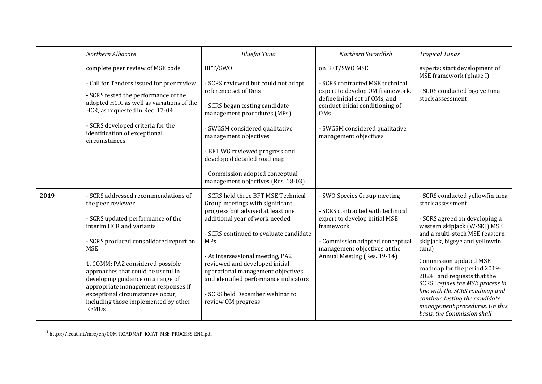The Group supported the establishment of a Swordfish MSE Ambassador Programme, similar to what has been done for Atlantic bluefin tuna. Ambassador meetings allow more informal discussions about the MSE since participants speak as individuals rather than from behind a flag. Convened as separate meetings in French, Spanish and English, rather than relying upon simultaneous interpretation, the bluefin Ambassador meetings have seen the most active participation to date of any of ICCAT's MSE dialogue fora. The Chair will work to identify the language-specific ambassadors for swordfish.

The Chair presented a table outlining an MSE engagement plan, including suggested meeting schedule with the objectives and decision points for each meeting (**Table 14**). The table will be shared with the Panel 4 Chair to outline intended progress, including objectives for the next Panel 4 intersessional meeting on 13 November 2022. The Group agreed that the communications Working Group would produce summary materials for review at the September Species Group meeting, with the aim to have them available to managers and stakeholders in advance of the Panel 4 intersessional.

The MSE Expert presented a walkthrough of Slick, the Shiny App for the NSWO MSE, which is accessible [here](https://harveststrategies.org/) (www.harveststrategies.org). Slick allows users to select CMP and OM parameters, as well as performance indicators of interest, to view customized MSE results. The app includes 11 different plot types with annotation to guide interpretation of the results. The Group commended the utility of Slick, while cautioning that it might contain too much information for Panel 4. It was suggested that perhaps Slick could be presented at one of the Ambassador meetings instead. The MSE Expert highlighted the flexibility of Slick and ability to expand its features, including plot types (e.g., to include violin plots).

## **7. Other matters**

SCRS/P/2022/004 provided a history of the Canadian swordfish fishery. Changes influencing fishing dynamics were divided into five categories: fishing regulations; gears; spatial patterns; bycatch mitigation; and other qualitative observations. The author noted that several of the changes highlighted in the work should be considered when National Scientists filter data and analyse for abundance trends. The author recommended that there be thorough documentation of fleet dynamics and management changes in these fisheries so that these can be reflected in index standardization and assessments.

The Group acknowledged the presentation and congratulated the author on the work. There was discussion on the need for these types of narratives for other ICCAT CPCs and fleets. It was clarified that a document with the full results of this work will be published as a DFO (Fisheries and Oceans Canada) technical report in the coming months.

## **8. Recommendations and Workplan Relative to Data Preparatory Sections**

## *8.1 Recommendations*

## *To SCRS plenary on research funding*

The Group recommends that a hand-held Argos electronic satellite tag receiver be purchased for use among ICCAT Species Groups. The receiver would help find the tag and thus scientists would be able to recover more detailed tagging data, retrieved directly from the tags.

## *To the SCRS and ICCAT Secretariat*

The Group recommends that the straight-curved lower jaw fork length relationships presented in SCRS/2022/061 be adopted for use for lengths conversions in the 2022 Stock Assessment. Pending further data collection and analysis the Group recommends that the conversion be considered for the ICCAT list of approved conversions.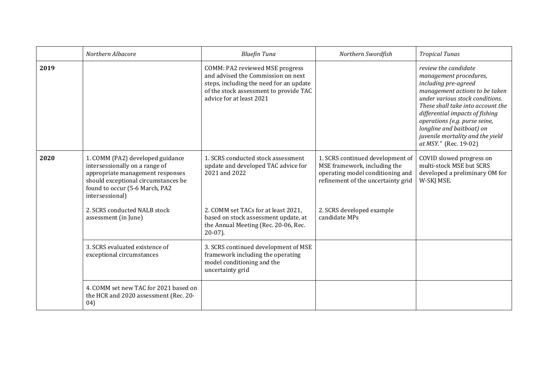### *To CPCs*

The Group recommends that the submission of size samples to the ICCAT Secretariat, as part of the CPCs Task 1 and 2 data submission obligations, be completed using the ST04-T2SZ statistical form. Size samples reported with the ST04-T2SZ form shall include all samples collected by the CPC from all fisheries and size samples of dead and live discards (when applicable) collected by its National Observer Programme. This recommendation does not preclude CPCs from the optional reporting of size samples collected by their National Observer Programme using the ST09-DomObPrg form.

### *To WGSAM*

Noting the spatial-temporal CPUE standardization approaches presented in this meeting (e.g. R-INLA), the Group recommends that the ICCAT Working Group on Stock Assessment Methods evaluate these modeling approaches and provide recommendations on their use in index standardizations.

### *To National Scientists*

The Group recommends that for future assessments, CPUE analysts form a small working group several months before the assessment data preparatory meeting. Noting the limited time within the data preparatory meeting for index review and short timelines for index revisions after the meeting, the small working group would allow for closer examination and detailed discussion on modeling approaches before formal submission of indices to the data preparatory meeting.

The Group recommends that National Scientists document the history of their fleets participating in ICCAT fisheries. Reviews should document changes in gears, local and national fishing regulations, spatial patterns and other relevant factors that influence how ICCAT species are caught. These reviews are important for better accounting of fleet structure and dynamics in CPUE standardizations and assessments.

## *To the SWO Species Group and the SCRS plenary on research funding*

The Group recommends continued financial support of the ICCAT swordfish biology programme. The Group further recommends that a proposal be developed for formalization of a Research Programme similar to those in place for bluefin tuna, sharks, and billfish. The proposal should include the Atlantic and Mediterranean stocks and have descriptions of the various research activities that the Groups are proposing, and timeframes for such work to be carried out. Determining the final amount of this proposal will be addressed at subsequent SWO Species Group and Species Groups meetings.

## *8.2 Recommendations and workplan relative to the MSE sections*

#### *Recommendations*

The Group recommends that the Slick Shiny App (accessible through [www.harveststrategies.org\)](http://www.harveststrategies.org/) be used for presenting results and visualizations of tradeoffs associated with the MSE. Slick allows users to select CMP and OM parameters, as well as performance indicators of interest, to view customized MSE results.

## *Workplan*

The Group developed a workplan (**Table 14**) for the remainder of 2022, including details on interactions needed with PA4 and other stakeholders needed in 2022 and 2023.

## **11. Adoption of the report and closure**

The report was adopted by the Group and the meeting was adjourned.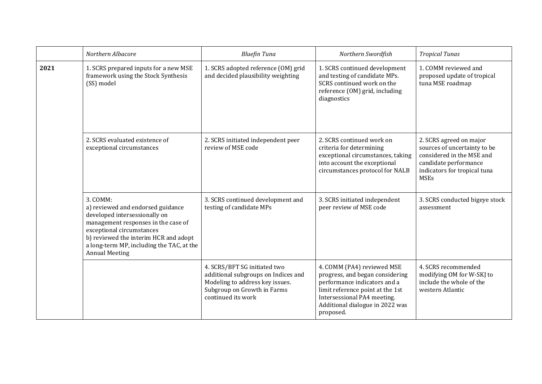### **References**

- Anon. 2009. Report of a Meeting Held During the Secretariat's Visit to the USA to Improve the Tagging Data Exchange Protocol (Miami, Florida, USA - March 31 to April 3, 2008). Collect. Vol. Sci. Pap. ICCAT, 64(7): 2641-2653
- Anon. 2017a. Report of the 2017 ICCAT Swordfish Data Preparatory meeting. Madrid, Spain 3-7 April 2017. Collect. Vol. Sci. Pap. ICCAT, 74(3): 841-967
- Anon. 2017b. Report of the 2017 ICCAT Swordfish Stock Assessment meeting. Madrid, Spain 3-7 July 2017. Collect. Vol. Sci. Pap. ICCAT, 74(3): 729-840
- Anon. 2021. Report of the 2021 Bigeye Tuna Stock Assessment Meeting. Online, 19-29 July 2021. Collect. Vol. Sci. Pap. ICCAT, 78(2): 335-485
- Carvalho, F., Winker, H., Courtney, D., Kapur, M., Kell, L., Cardinale, M., Schirripa, M., Kitakado, T., Yemane, D., Piner, K.R. and Maunder, M.N., 2021. A cookbook for using model diagnostics in integrated stock assessments. Fisheries Research, 240, p.105959.
- Coelho R. an[d Muñoz-Lechuga,](https://link.springer.com/article/10.1007/s11160-018-9543-0#auth-Rub_n-Mu_oz_Lechuga) R. 2019. Hooking mortality of swordfish in pelagic longlines: Comments on the efficiency of 18 minimum retention sizes. *[Reviews in Fish Biology and Fisheries](https://link.springer.com/journal/11160)* 29: 453-463
- Diaz, G. 2020. The Effect of Circle Hooks Vs J Hooks On The At-Haulback Survival In The U.S. Atlantic Pelagic Longline Fleet. Collect. Vol. Sci. Pap. ICCAT, 77(4): 127-136DieMethot Jr, R.D. and Wetzel, C.R., 2013. Stock synthesis: a biological and statistical framework for fish stock assessment and fishery management. Fisheries Research, 142, pp.86-99.
- Forselledo R., Mas F., Pons M., and Domingo A. 2018. Standardized CPUE of swordfish, *Xiphias gladius*, based on data gathered by the National Observer Programme on board the Uruguayan longline fleet (2001-2012). Collect. Vol. Sci. Pap. ICCAT, 74(3): 1140-1150.
- Mejuto J., García-Cortés B., Ramos-Cartelle A., and Fernández-Costa J. 2022. Standerdized age-specific catch rates in number of fish for the North Atlantic swordfish (*Xiphias gladius*) inferred from data of the Spanish longline fleet during the period 1982-2019. Collect. Vol. Sci. Pap. ICCAT, 78(7): 122- 141.
- Pons M., Forselledo R. and Domingo A. 2014. Standardized CPUE of swordfish (*Xiphias gladius*) caught by Uruguayan longliners in the southwestern Atlantic Ocean (1982-2012). Collect. Vol. Sci. Pap. ICCAT, 70(4): 1758-1776.
- Prager, M.H., 1992. ASPIC: A surplus-production model incorporating covariates. Coll. Vol. Sci. Pap., Int. Comm. Conserv. Atl. Tunas (ICCAT), 28, pp.218-229.
- Ramos-Cartelle A., Fernández-Costa J., García-Cortés B., and Mejuto J. 2022. Updated standardized catch rates for the North Atlantic stock of swordfish (*Xiphias gladius*) from the Spanish surface longline fleet for the period 1986-2019. Collect. Vol. Sci. Pap. ICCAT, 78(7): 98-110.
- Schirripa M., and Hordyk A. 2021. Migrating the North Atlantic swordfish stock assessment model to an updated version of stock synthesis with analysis of the current minimum size regulation. Collect. Vol. Sci. Pap. ICCAT, 77(3): 654-668.
- Walter J., and Winker, H. 2020. [Projections to Create Kobe 2 Strategy Matrix Using the Multivariate Log-](https://www.iccat.int/Documents/CVSP/CV076_2019/n_6/CV076060725.pdf)[Normal Approximation for Atlantic Yellowfin Tuna.](https://www.iccat.int/Documents/CVSP/CV076_2019/n_6/CV076060725.pdf) Collect. Vol. Sci. Pap. ICCAT, 76(6): 725-739
- Winker H, Kerwath S, de Bruyn P. (2018). Developing surplus production model priors from a multivariate life history prediction model for IOTC billfish assessments with limited biological information. IOTC-2018-WPB16 (14).